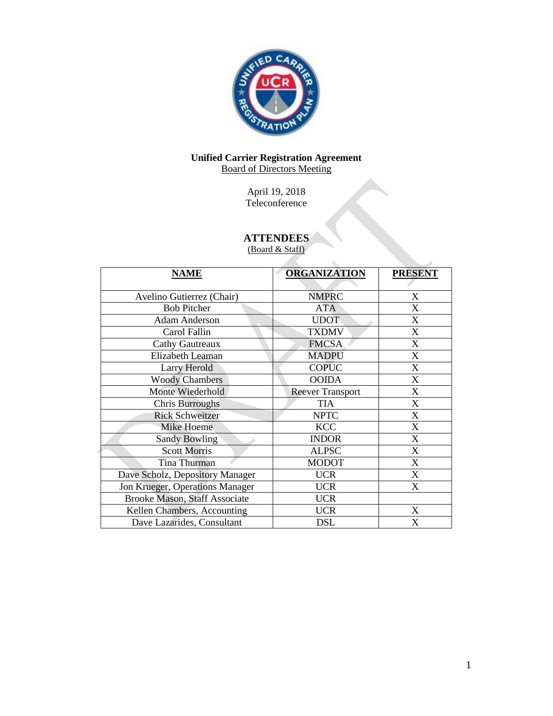

# **Unified Carrier Registration Agreement** Board of Directors Meeting

April 19, 2018 Teleconference

# **ATTENDEES**

(Board & Staff)

| <b>NAME</b>                          | <b>ORGANIZATION</b>     | <b>PRESENT</b> |
|--------------------------------------|-------------------------|----------------|
|                                      |                         |                |
| Avelino Gutierrez (Chair)            | <b>NMPRC</b>            | X              |
| <b>Bob Pitcher</b>                   | <b>ATA</b>              | X              |
| <b>Adam Anderson</b>                 | <b>UDOT</b>             | X              |
| Carol Fallin                         | <b>TXDMV</b>            | X              |
| <b>Cathy Gautreaux</b>               | <b>FMCSA</b>            | X              |
| Elizabeth Leaman                     | <b>MADPU</b>            | X              |
| Larry Herold                         | <b>COPUC</b>            | $\mathbf{X}$   |
| <b>Woody Chambers</b>                | <b>OOIDA</b>            | X              |
| Monte Wiederhold                     | <b>Reever Transport</b> | X              |
| Chris Burroughs                      | <b>TIA</b>              | X              |
| <b>Rick Schweitzer</b>               | <b>NPTC</b>             | X              |
| Mike Hoeme                           | <b>KCC</b>              | X              |
| <b>Sandy Bowling</b>                 | <b>INDOR</b>            | X              |
| <b>Scott Morris</b>                  | <b>ALPSC</b>            | X              |
| Tina Thurman                         | <b>MODOT</b>            | X              |
| Dave Scholz, Depository Manager      | <b>UCR</b>              | X              |
| Jon Krueger, Operations Manager      | <b>UCR</b>              | X              |
| <b>Brooke Mason, Staff Associate</b> | <b>UCR</b>              |                |
| Kellen Chambers, Accounting          | <b>UCR</b>              | X              |
| Dave Lazarides, Consultant           | <b>DSL</b>              | X              |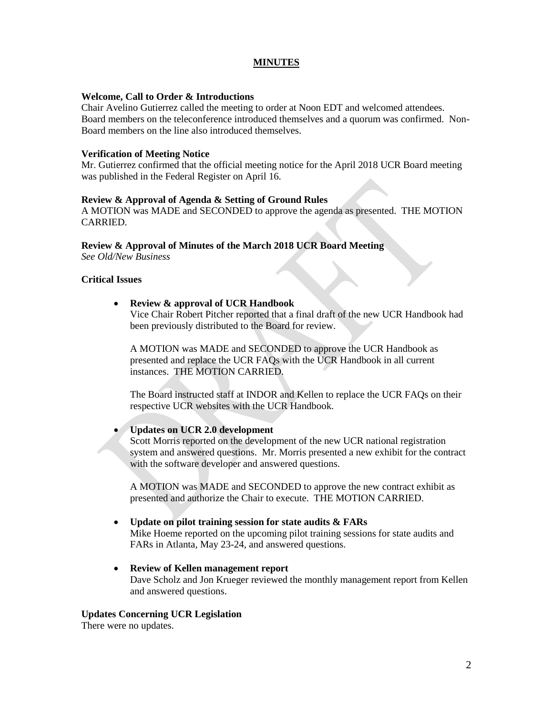# **MINUTES**

#### **Welcome, Call to Order & Introductions**

Chair Avelino Gutierrez called the meeting to order at Noon EDT and welcomed attendees. Board members on the teleconference introduced themselves and a quorum was confirmed. Non-Board members on the line also introduced themselves.

#### **Verification of Meeting Notice**

Mr. Gutierrez confirmed that the official meeting notice for the April 2018 UCR Board meeting was published in the Federal Register on April 16.

### **Review & Approval of Agenda & Setting of Ground Rules**

A MOTION was MADE and SECONDED to approve the agenda as presented. THE MOTION CARRIED.

#### **Review & Approval of Minutes of the March 2018 UCR Board Meeting**

*See Old/New Business*

### **Critical Issues**

### **Review & approval of UCR Handbook**

Vice Chair Robert Pitcher reported that a final draft of the new UCR Handbook had been previously distributed to the Board for review.

A MOTION was MADE and SECONDED to approve the UCR Handbook as presented and replace the UCR FAQs with the UCR Handbook in all current instances. THE MOTION CARRIED.

The Board instructed staff at INDOR and Kellen to replace the UCR FAQs on their respective UCR websites with the UCR Handbook.

### **Updates on UCR 2.0 development**

Scott Morris reported on the development of the new UCR national registration system and answered questions. Mr. Morris presented a new exhibit for the contract with the software developer and answered questions.

A MOTION was MADE and SECONDED to approve the new contract exhibit as presented and authorize the Chair to execute. THE MOTION CARRIED.

#### **Update on pilot training session for state audits & FARs**

Mike Hoeme reported on the upcoming pilot training sessions for state audits and FARs in Atlanta, May 23-24, and answered questions.

# **Review of Kellen management report**  Dave Scholz and Jon Krueger reviewed the monthly management report from Kellen and answered questions.

#### **Updates Concerning UCR Legislation**

There were no updates.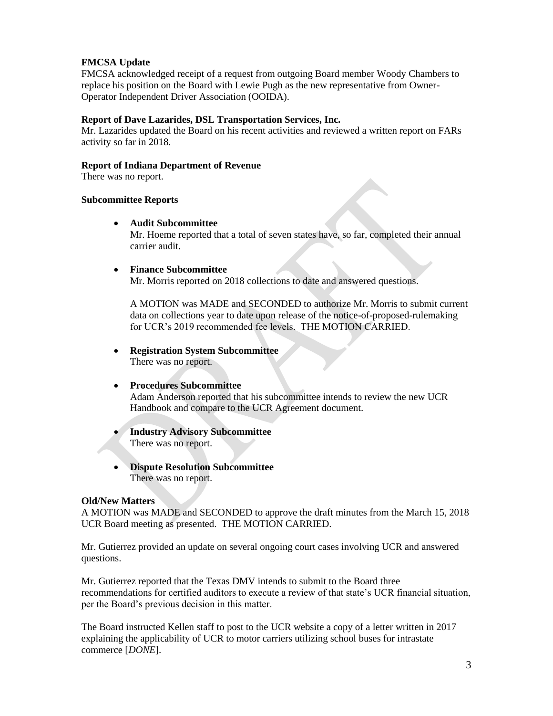# **FMCSA Update**

FMCSA acknowledged receipt of a request from outgoing Board member Woody Chambers to replace his position on the Board with Lewie Pugh as the new representative from Owner-Operator Independent Driver Association (OOIDA).

### **Report of Dave Lazarides, DSL Transportation Services, Inc.**

Mr. Lazarides updated the Board on his recent activities and reviewed a written report on FARs activity so far in 2018.

#### **Report of Indiana Department of Revenue**

There was no report.

#### **Subcommittee Reports**

**Audit Subcommittee**

Mr. Hoeme reported that a total of seven states have, so far, completed their annual carrier audit.

**Finance Subcommittee**

Mr. Morris reported on 2018 collections to date and answered questions.

A MOTION was MADE and SECONDED to authorize Mr. Morris to submit current data on collections year to date upon release of the notice-of-proposed-rulemaking for UCR's 2019 recommended fee levels. THE MOTION CARRIED.

 **Registration System Subcommittee** There was no report.

# **Procedures Subcommittee**

Adam Anderson reported that his subcommittee intends to review the new UCR Handbook and compare to the UCR Agreement document.

- **Industry Advisory Subcommittee** There was no report.
- **Dispute Resolution Subcommittee** There was no report.

# **Old/New Matters**

A MOTION was MADE and SECONDED to approve the draft minutes from the March 15, 2018 UCR Board meeting as presented. THE MOTION CARRIED.

Mr. Gutierrez provided an update on several ongoing court cases involving UCR and answered questions.

Mr. Gutierrez reported that the Texas DMV intends to submit to the Board three recommendations for certified auditors to execute a review of that state's UCR financial situation, per the Board's previous decision in this matter.

The Board instructed Kellen staff to post to the UCR website a copy of a letter written in 2017 explaining the applicability of UCR to motor carriers utilizing school buses for intrastate commerce [*DONE*].